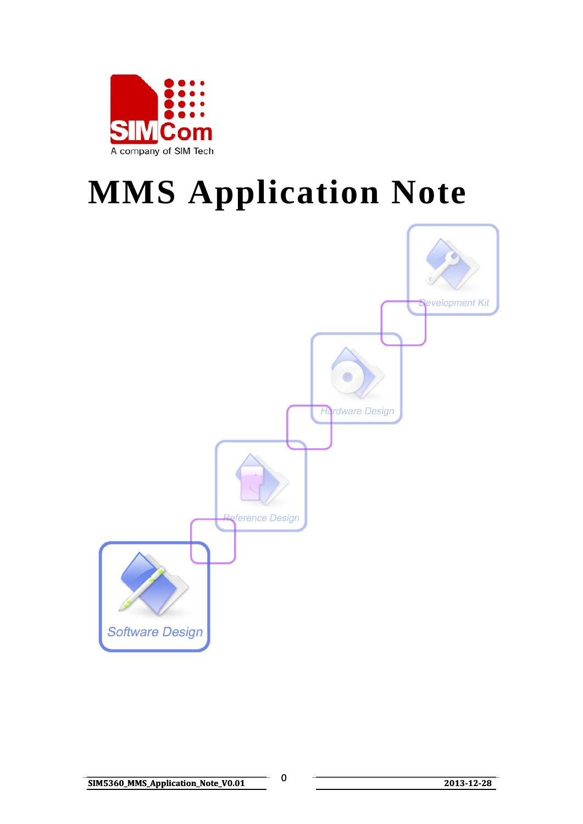

# **MMS Application Note**

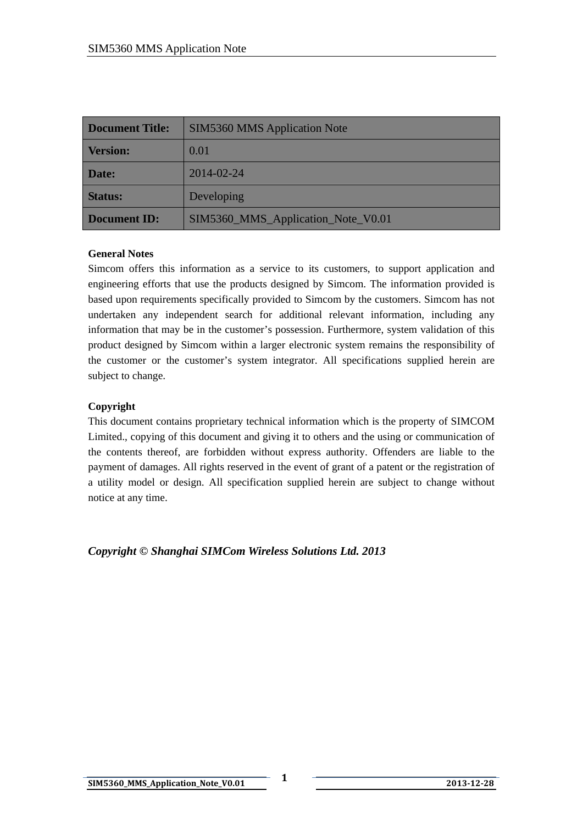| <b>Document Title:</b> | <b>SIM5360 MMS Application Note</b> |  |
|------------------------|-------------------------------------|--|
| <b>Version:</b>        | 0.01                                |  |
| Date:                  | 2014-02-24                          |  |
| <b>Status:</b>         | Developing                          |  |
| <b>Document ID:</b>    | SIM5360_MMS_Application_Note_V0.01  |  |

#### **General Notes**

Simcom offers this information as a service to its customers, to support application and engineering efforts that use the products designed by Simcom. The information provided is based upon requirements specifically provided to Simcom by the customers. Simcom has not undertaken any independent search for additional relevant information, including any information that may be in the customer's possession. Furthermore, system validation of this product designed by Simcom within a larger electronic system remains the responsibility of the customer or the customer's system integrator. All specifications supplied herein are subject to change.

#### **Copyright**

This document contains proprietary technical information which is the property of SIMCOM Limited., copying of this document and giving it to others and the using or communication of the contents thereof, are forbidden without express authority. Offenders are liable to the payment of damages. All rights reserved in the event of grant of a patent or the registration of a utility model or design. All specification supplied herein are subject to change without notice at any time.

*Copyright © Shanghai SIMCom Wireless Solutions Ltd. 2013*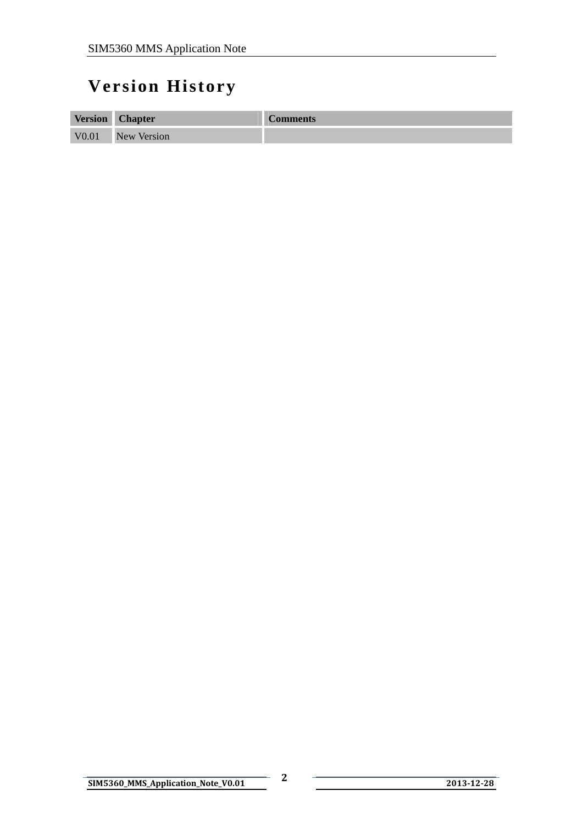# <span id="page-2-0"></span>**Version History**

| <b>Version</b>    | <b>Chapter</b>     | <b>Comments</b> |
|-------------------|--------------------|-----------------|
| V <sub>0.01</sub> | <b>New Version</b> |                 |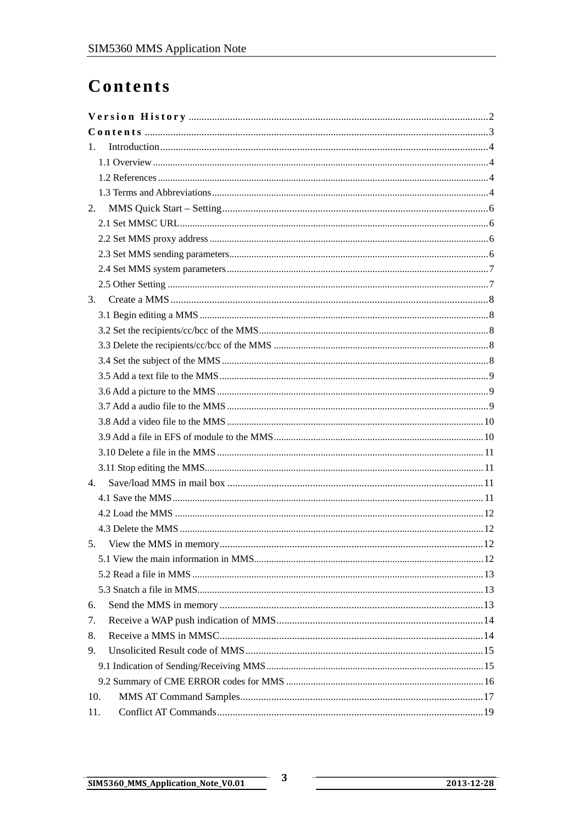# <span id="page-3-0"></span>Contents

| 1.  |  |
|-----|--|
|     |  |
|     |  |
|     |  |
| 2.  |  |
|     |  |
|     |  |
|     |  |
|     |  |
|     |  |
| 3.  |  |
|     |  |
|     |  |
|     |  |
|     |  |
|     |  |
|     |  |
|     |  |
|     |  |
|     |  |
|     |  |
|     |  |
| 4.  |  |
|     |  |
|     |  |
|     |  |
| 5.  |  |
|     |  |
|     |  |
|     |  |
| 6.  |  |
| 7.  |  |
| 8.  |  |
| 9.  |  |
|     |  |
|     |  |
| 10. |  |
| 11. |  |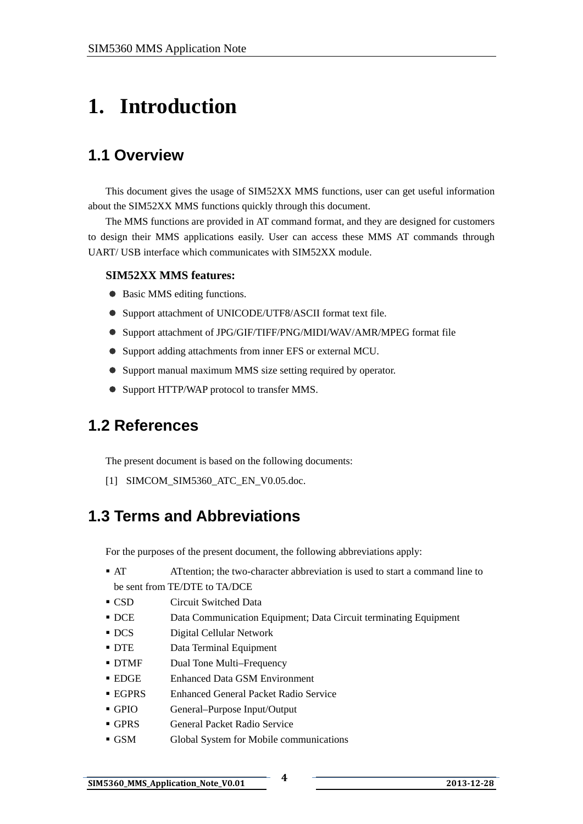# <span id="page-4-0"></span>**1. Introduction**

### **1.1 Overview**

This document gives the usage of SIM52XX MMS functions, user can get useful information about the SIM52XX MMS functions quickly through this document.

The MMS functions are provided in AT command format, and they are designed for customers to design their MMS applications easily. User can access these MMS AT commands through UART/ USB interface which communicates with SIM52XX module.

#### **SIM52XX MMS features:**

- Basic MMS editing functions.
- Support attachment of UNICODE/UTF8/ASCII format text file.
- z Support attachment of JPG/GIF/TIFF/PNG/MIDI/WAV/AMR/MPEG format file
- Support adding attachments from inner EFS or external MCU.
- Support manual maximum MMS size setting required by operator.
- Support HTTP/WAP protocol to transfer MMS.

### **1.2 References**

The present document is based on the following documents:

[1] SIMCOM\_SIM5360\_ATC\_EN\_V0.05.doc.

### **1.3 Terms and Abbreviations**

For the purposes of the present document, the following abbreviations apply:

- AT ATtention; the two-character abbreviation is used to start a command line to be sent from TE/DTE to TA/DCE
- CSD Circuit Switched Data
- DCE Data Communication Equipment; Data Circuit terminating Equipment
- DCS Digital Cellular Network
- DTE Data Terminal Equipment
- DTMF Dual Tone Multi–Frequency
- EDGE Enhanced Data GSM Environment
- EGPRS Enhanced General Packet Radio Service
- GPIO General–Purpose Input/Output
- GPRS General Packet Radio Service
- GSM Global System for Mobile communications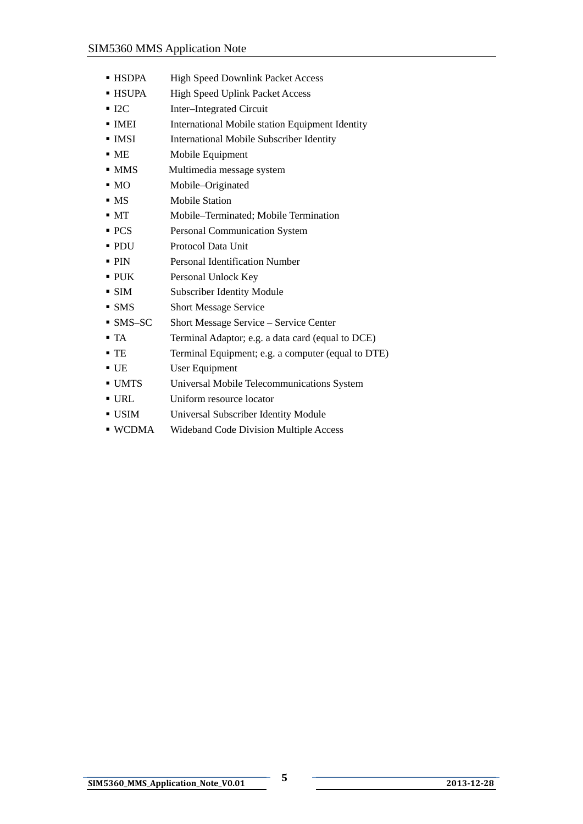- HSDPA High Speed Downlink Packet Access
- HSUPA High Speed Uplink Packet Access
- I2C Inter–Integrated Circuit
- IMEI International Mobile station Equipment Identity
- **IMSI** International Mobile Subscriber Identity
- ME Mobile Equipment
- MMS Multimedia message system
- MO Mobile–Originated
- MS Mobile Station
- MT Mobile–Terminated; Mobile Termination
- PCS Personal Communication System
- PDU Protocol Data Unit
- **PIN** Personal Identification Number
- PUK Personal Unlock Key
- SIM Subscriber Identity Module
- SMS Short Message Service
- SMS–SC Short Message Service Service Center
- TA Terminal Adaptor; e.g. a data card (equal to DCE)
- TE Terminal Equipment; e.g. a computer (equal to DTE)
- UE User Equipment
- UMTS Universal Mobile Telecommunications System
- URL Uniform resource locator
- USIM Universal Subscriber Identity Module
- WCDMA Wideband Code Division Multiple Access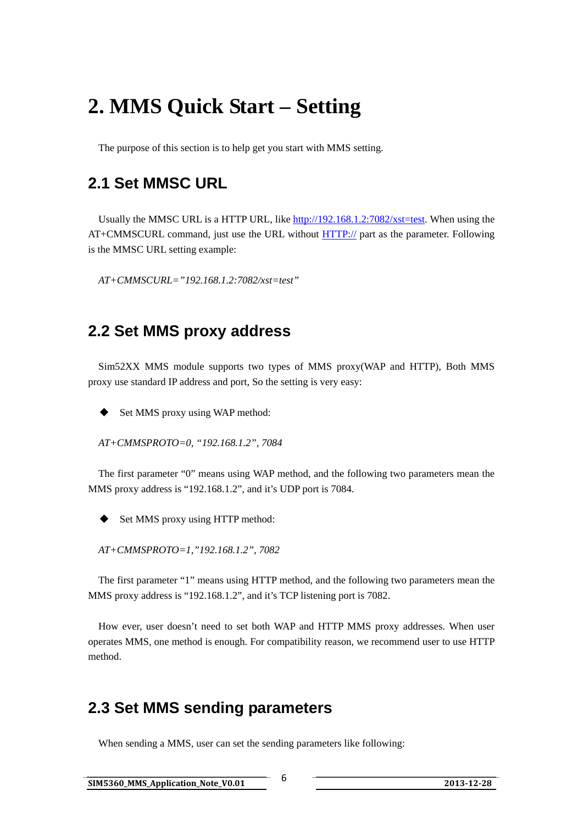# <span id="page-6-0"></span>**2. MMS Quick Start – Setting**

The purpose of this section is to help get you start with MMS setting.

### **2.1 Set MMSC URL**

Usually the MMSC URL is a HTTP URL, like [http://192.168.1.2:7082/xst=test.](http://192.168.1.2:7082/xst=test) When using the AT+CMMSCURL command, just use the URL without [HTTP://](http:///) part as the parameter. Following is the MMSC URL setting example:

*AT+CMMSCURL="192.168.1.2:7082/xst=test"* 

### **2.2 Set MMS proxy address**

 Sim52XX MMS module supports two types of MMS proxy(WAP and HTTP), Both MMS proxy use standard IP address and port, So the setting is very easy:

◆ Set MMS proxy using WAP method:

*AT+CMMSPROTO=0, "192.168.1.2", 7084* 

 The first parameter "0" means using WAP method, and the following two parameters mean the MMS proxy address is "192.168.1.2", and it's UDP port is 7084.

Set MMS proxy using HTTP method:

*AT+CMMSPROTO=1,"192.168.1.2", 7082* 

 The first parameter "1" means using HTTP method, and the following two parameters mean the MMS proxy address is "192.168.1.2", and it's TCP listening port is 7082.

 How ever, user doesn't need to set both WAP and HTTP MMS proxy addresses. When user operates MMS, one method is enough. For compatibility reason, we recommend user to use HTTP method.

### **2.3 Set MMS sending parameters**

When sending a MMS, user can set the sending parameters like following: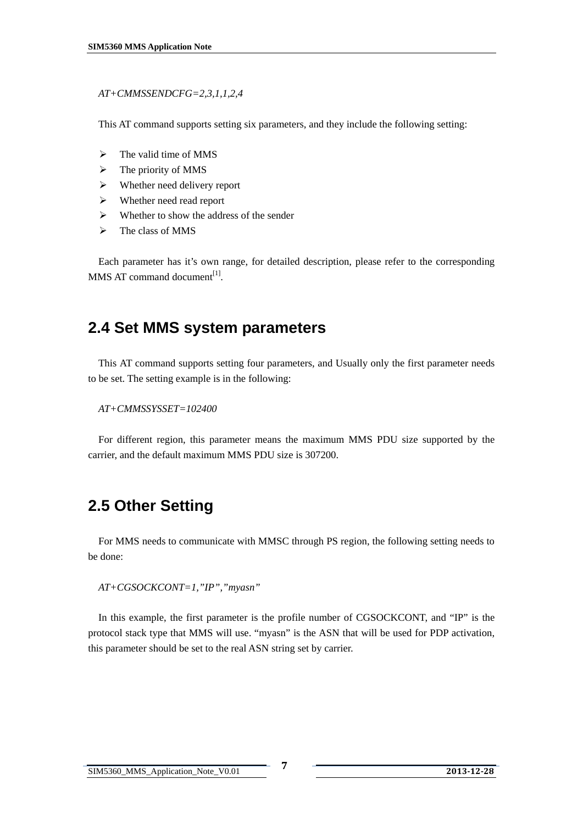#### <span id="page-7-0"></span>*AT+CMMSSENDCFG=2,3,1,1,2,4*

This AT command supports setting six parameters, and they include the following setting:

- $\triangleright$  The valid time of MMS
- $\triangleright$  The priority of MMS
- $\triangleright$  Whether need delivery report
- $\triangleright$  Whether need read report
- $\triangleright$  Whether to show the address of the sender
- $\triangleright$  The class of MMS

 Each parameter has it's own range, for detailed description, please refer to the corresponding MMS AT command document<sup>[1]</sup>.

### **2.4 Set MMS system parameters**

 This AT command supports setting four parameters, and Usually only the first parameter needs to be set. The setting example is in the following:

```
 AT+CMMSSYSSET=102400
```
 For different region, this parameter means the maximum MMS PDU size supported by the carrier, and the default maximum MMS PDU size is 307200.

# **2.5 Other Setting**

 For MMS needs to communicate with MMSC through PS region, the following setting needs to be done:

*AT+CGSOCKCONT=1,"IP","myasn"* 

In this example, the first parameter is the profile number of CGSOCKCONT, and "IP" is the protocol stack type that MMS will use. "myasn" is the ASN that will be used for PDP activation, this parameter should be set to the real ASN string set by carrier.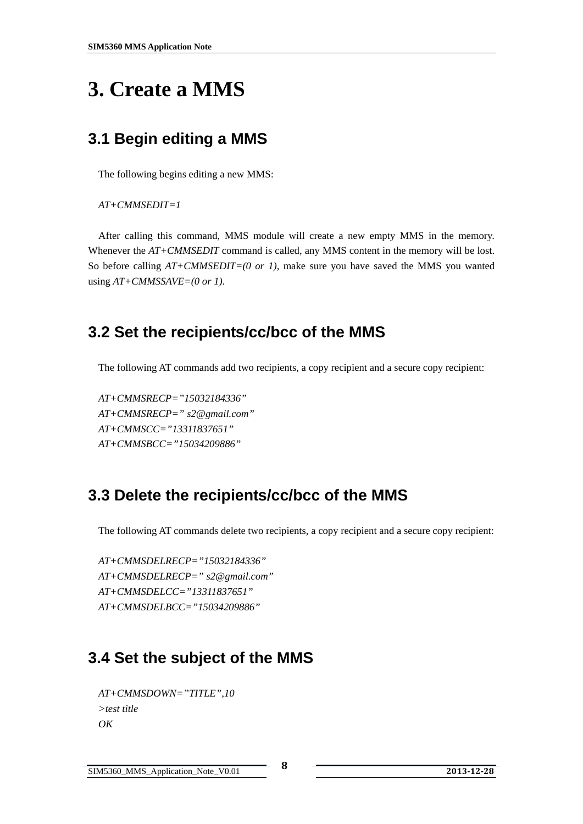# <span id="page-8-0"></span>**3. Create a MMS**

# **3.1 Begin editing a MMS**

The following begins editing a new MMS:

```
AT+CMMSEDIT=1
```
 After calling this command, MMS module will create a new empty MMS in the memory. Whenever the  $AT+CMMSEDIT$  command is called, any MMS content in the memory will be lost. So before calling *AT+CMMSEDIT=(0 or 1)*, make sure you have saved the MMS you wanted using *AT+CMMSSAVE=(0 or 1)*.

## **3.2 Set the recipients/cc/bcc of the MMS**

The following AT commands add two recipients, a copy recipient and a secure copy recipient:

*AT+CMMSRECP="15032184336" AT+CMMSRECP=" s2@gmail.com" AT+CMMSCC="13311837651" AT+CMMSBCC="15034209886"* 

## **3.3 Delete the recipients/cc/bcc of the MMS**

The following AT commands delete two recipients, a copy recipient and a secure copy recipient:

*AT+CMMSDELRECP="15032184336" AT+CMMSDELRECP=" s2@gmail.com" AT+CMMSDELCC="13311837651" AT+CMMSDELBCC="15034209886"* 

## **3.4 Set the subject of the MMS**

```
 AT+CMMSDOWN="TITLE",10 
 >test title 
 OK
```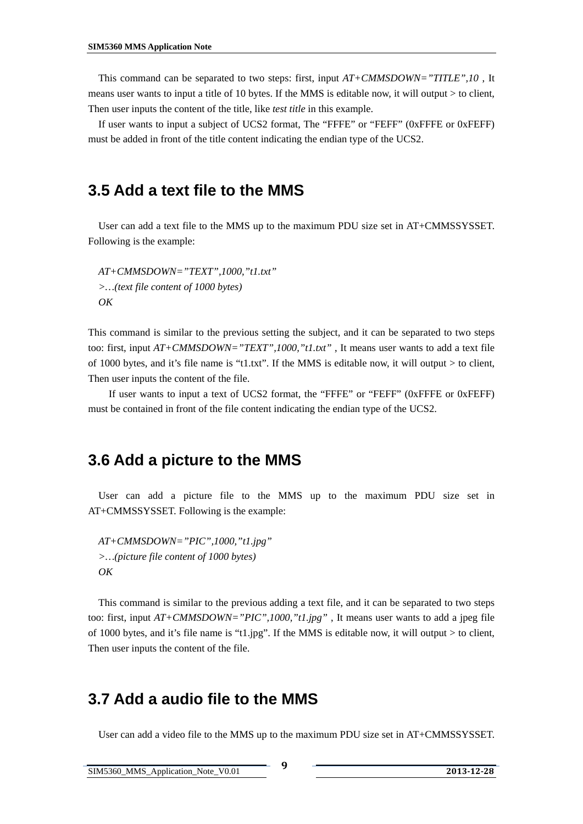<span id="page-9-0"></span> This command can be separated to two steps: first, input *AT+CMMSDOWN="TITLE",10* , It means user wants to input a title of 10 bytes. If the MMS is editable now, it will output > to client, Then user inputs the content of the title, like *test title* in this example.

 If user wants to input a subject of UCS2 format, The "FFFE" or "FEFF" (0xFFFE or 0xFEFF) must be added in front of the title content indicating the endian type of the UCS2.

#### **3.5 Add a text file to the MMS**

 User can add a text file to the MMS up to the maximum PDU size set in AT+CMMSSYSSET. Following is the example:

 *AT+CMMSDOWN="TEXT",1000,"t1.txt" >…(text file content of 1000 bytes) OK* 

This command is similar to the previous setting the subject, and it can be separated to two steps too: first, input  $AT+CMMSDOWN= "TEXT", 1000," 1.txt",$  It means user wants to add a text file of 1000 bytes, and it's file name is "t1.txt". If the MMS is editable now, it will output > to client, Then user inputs the content of the file.

 If user wants to input a text of UCS2 format, the "FFFE" or "FEFF" (0xFFFE or 0xFEFF) must be contained in front of the file content indicating the endian type of the UCS2.

#### **3.6 Add a picture to the MMS**

 User can add a picture file to the MMS up to the maximum PDU size set in AT+CMMSSYSSET. Following is the example:

 *AT+CMMSDOWN="PIC",1000,"t1.jpg" >…(picture file content of 1000 bytes) OK* 

This command is similar to the previous adding a text file, and it can be separated to two steps too: first, input *AT+CMMSDOWN="PIC",1000,"t1.jpg"* , It means user wants to add a jpeg file of 1000 bytes, and it's file name is "t1.jpg". If the MMS is editable now, it will output > to client, Then user inputs the content of the file.

#### **3.7 Add a audio file to the MMS**

User can add a video file to the MMS up to the maximum PDU size set in AT+CMMSSYSSET.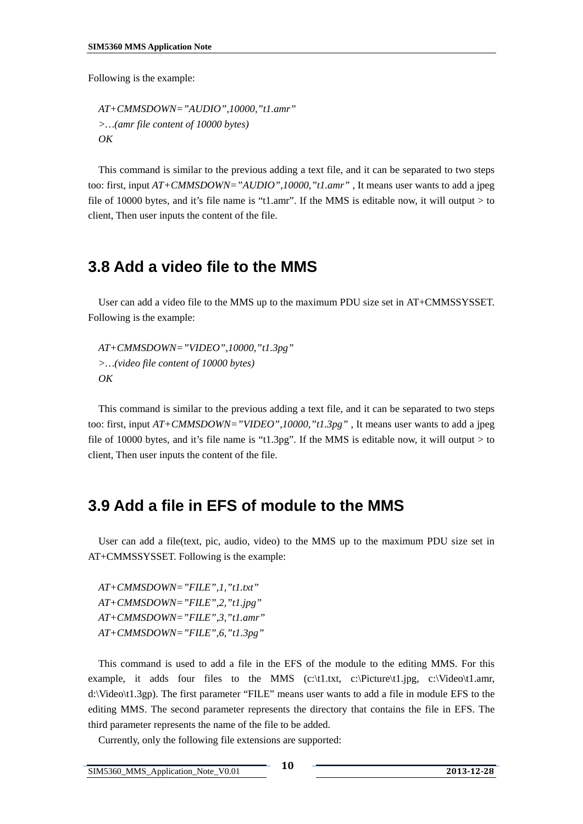<span id="page-10-0"></span>Following is the example:

 *AT+CMMSDOWN="AUDIO",10000,"t1.amr" >…(amr file content of 10000 bytes) OK* 

This command is similar to the previous adding a text file, and it can be separated to two steps too: first, input *AT+CMMSDOWN="AUDIO",10000,"t1.amr"* , It means user wants to add a jpeg file of 10000 bytes, and it's file name is "t1.amr". If the MMS is editable now, it will output  $>$  to client, Then user inputs the content of the file.

#### **3.8 Add a video file to the MMS**

 User can add a video file to the MMS up to the maximum PDU size set in AT+CMMSSYSSET. Following is the example:

 *AT+CMMSDOWN="VIDEO",10000,"t1.3pg" >…(video file content of 10000 bytes) OK* 

This command is similar to the previous adding a text file, and it can be separated to two steps too: first, input *AT+CMMSDOWN="VIDEO",10000,"t1.3pg"* , It means user wants to add a jpeg file of 10000 bytes, and it's file name is "t1.3pg". If the MMS is editable now, it will output  $>$  to client, Then user inputs the content of the file.

#### **3.9 Add a file in EFS of module to the MMS**

 User can add a file(text, pic, audio, video) to the MMS up to the maximum PDU size set in AT+CMMSSYSSET. Following is the example:

 *AT+CMMSDOWN="FILE",1,"t1.txt" AT+CMMSDOWN="FILE",2,"t1.jpg" AT+CMMSDOWN="FILE",3,"t1.amr" AT+CMMSDOWN="FILE",6,"t1.3pg"* 

This command is used to add a file in the EFS of the module to the editing MMS. For this example, it adds four files to the MMS (c:\t1.txt, c:\Picture\t1.jpg, c:\Video\t1.amr, d:\Video\t1.3gp). The first parameter "FILE" means user wants to add a file in module EFS to the editing MMS. The second parameter represents the directory that contains the file in EFS. The third parameter represents the name of the file to be added.

Currently, only the following file extensions are supported: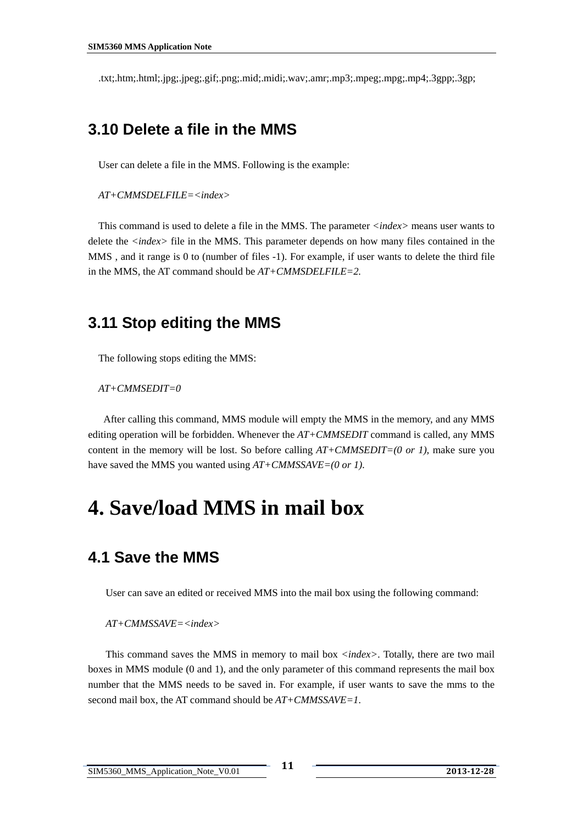<span id="page-11-0"></span>.txt;.htm;.html;.jpg;.jpeg;.gif;.png;.mid;.midi;.wav;.amr;.mp3;.mpeg;.mpg;.mp4;.3gpp;.3gp;

#### **3.10 Delete a file in the MMS**

User can delete a file in the MMS. Following is the example:

*AT+CMMSDELFILE=<index>* 

This command is used to delete a file in the MMS. The parameter *<index>* means user wants to delete the *<index>* file in the MMS. This parameter depends on how many files contained in the MMS , and it range is 0 to (number of files -1). For example, if user wants to delete the third file in the MMS, the AT command should be *AT+CMMSDELFILE=2.*

#### **3.11 Stop editing the MMS**

The following stops editing the MMS:

*AT+CMMSEDIT=0* 

 After calling this command, MMS module will empty the MMS in the memory, and any MMS editing operation will be forbidden. Whenever the *AT+CMMSEDIT* command is called, any MMS content in the memory will be lost. So before calling *AT+CMMSEDIT=(0 or 1)*, make sure you have saved the MMS you wanted using *AT+CMMSSAVE=(0 or 1)*.

# **4. Save/load MMS in mail box**

#### **4.1 Save the MMS**

User can save an edited or received MMS into the mail box using the following command:

#### *AT+CMMSSAVE=<index>*

This command saves the MMS in memory to mail box *<index>*. Totally, there are two mail boxes in MMS module (0 and 1), and the only parameter of this command represents the mail box number that the MMS needs to be saved in. For example, if user wants to save the mms to the second mail box, the AT command should be *AT+CMMSSAVE=1*.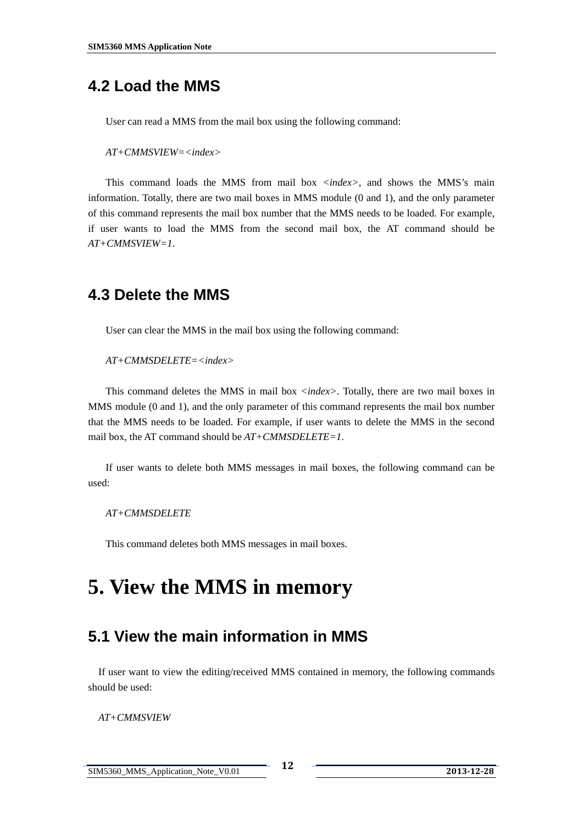### <span id="page-12-0"></span>**4.2 Load the MMS**

User can read a MMS from the mail box using the following command:

*AT+CMMSVIEW=<index>* 

This command loads the MMS from mail box *<index>*, and shows the MMS's main information. Totally, there are two mail boxes in MMS module (0 and 1), and the only parameter of this command represents the mail box number that the MMS needs to be loaded. For example, if user wants to load the MMS from the second mail box, the AT command should be *AT+CMMSVIEW=1*.

#### **4.3 Delete the MMS**

User can clear the MMS in the mail box using the following command:

*AT+CMMSDELETE=<index>* 

This command deletes the MMS in mail box *<index>*. Totally, there are two mail boxes in MMS module (0 and 1), and the only parameter of this command represents the mail box number that the MMS needs to be loaded. For example, if user wants to delete the MMS in the second mail box, the AT command should be *AT+CMMSDELETE=1*.

If user wants to delete both MMS messages in mail boxes, the following command can be used:

*AT+CMMSDELETE*

This command deletes both MMS messages in mail boxes.

# **5. View the MMS in memory**

#### **5.1 View the main information in MMS**

If user want to view the editing/received MMS contained in memory, the following commands should be used:

*AT+CMMSVIEW*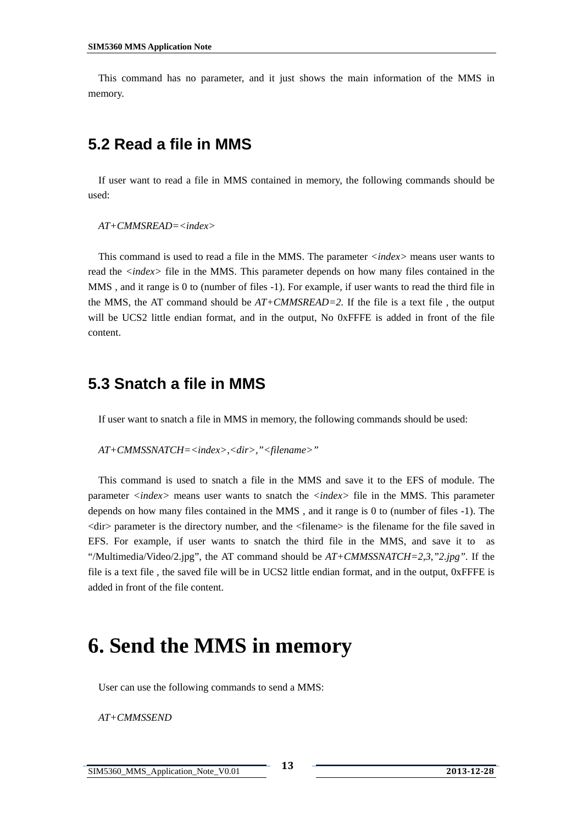<span id="page-13-0"></span> This command has no parameter, and it just shows the main information of the MMS in memory.

#### **5.2 Read a file in MMS**

If user want to read a file in MMS contained in memory, the following commands should be used:

*AT+CMMSREAD=<index>* 

 This command is used to read a file in the MMS. The parameter *<index>* means user wants to read the *<index>* file in the MMS. This parameter depends on how many files contained in the MMS , and it range is 0 to (number of files -1). For example, if user wants to read the third file in the MMS, the AT command should be  $AT+CMMSREAD=2$ . If the file is a text file, the output will be UCS2 little endian format, and in the output, No 0xFFFE is added in front of the file content.

#### **5.3 Snatch a file in MMS**

If user want to snatch a file in MMS in memory, the following commands should be used:

```
 AT+CMMSSNATCH=<index>,<dir>,"<filename>"
```
 This command is used to snatch a file in the MMS and save it to the EFS of module. The parameter *<index>* means user wants to snatch the *<index>* file in the MMS. This parameter depends on how many files contained in the MMS , and it range is 0 to (number of files -1). The <dir> parameter is the directory number, and the <filename> is the filename for the file saved in EFS. For example, if user wants to snatch the third file in the MMS, and save it to as "/Multimedia/Video/2.jpg", the AT command should be  $AT+CMMSSNATCH=2,3,$ "2.jpg". If the file is a text file , the saved file will be in UCS2 little endian format, and in the output, 0xFFFE is added in front of the file content.

# **6. Send the MMS in memory**

User can use the following commands to send a MMS:

*AT+CMMSSEND*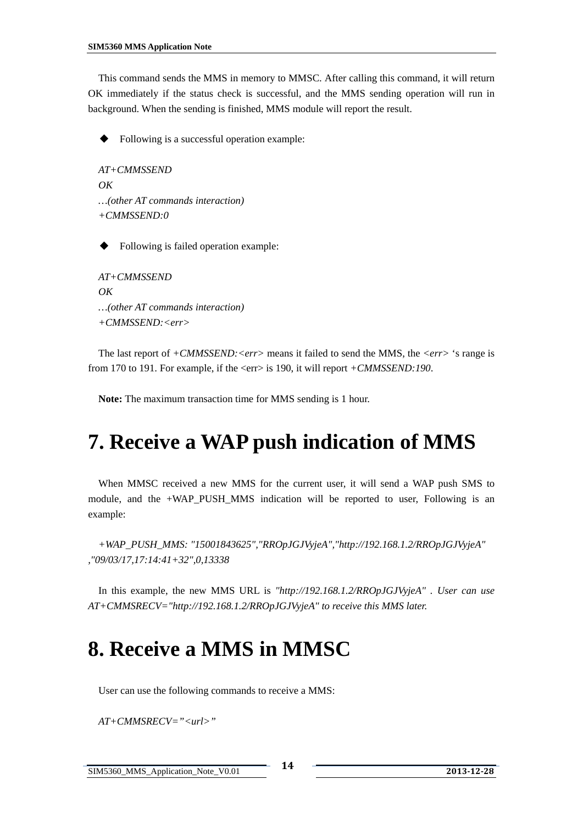<span id="page-14-0"></span> This command sends the MMS in memory to MMSC. After calling this command, it will return OK immediately if the status check is successful, and the MMS sending operation will run in background. When the sending is finished, MMS module will report the result.

Following is a successful operation example:

```
 AT+CMMSSEND 
\overline{OK} …(other AT commands interaction) 
 +CMMSSEND:0
```
Following is failed operation example:

```
 AT+CMMSSEND 
 OK 
 …(other AT commands interaction) 
 +CMMSSEND:<err>
```
 The last report of *+CMMSSEND:<err>* means it failed to send the MMS, the *<err>* 's range is from 170 to 191. For example, if the <err> is 190, it will report *+CMMSSEND:190*.

**Note:** The maximum transaction time for MMS sending is 1 hour.

# **7. Receive a WAP push indication of MMS**

 When MMSC received a new MMS for the current user, it will send a WAP push SMS to module, and the +WAP PUSH MMS indication will be reported to user, Following is an example:

 *+WAP\_PUSH\_MMS: "15001843625","RROpJGJVyjeA","http://192.168.1.2/RROpJGJVyjeA" ,"09/03/17,17:14:41+32",0,13338* 

 In this example, the new MMS URL is *"http://192.168.1.2/RROpJGJVyjeA" . User can use AT+CMMSRECV="http://192.168.1.2/RROpJGJVyjeA" to receive this MMS later.* 

# **8. Receive a MMS in MMSC**

User can use the following commands to receive a MMS:

*AT+CMMSRECV="<url>"*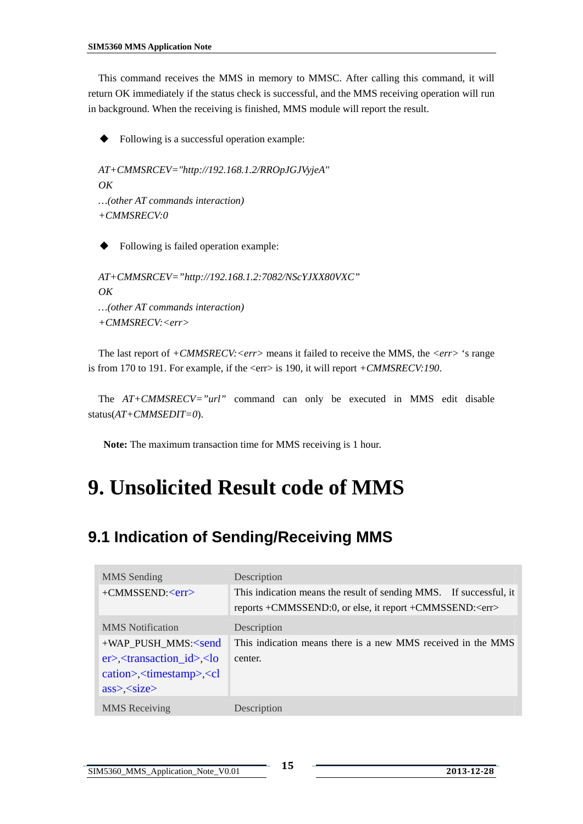<span id="page-15-0"></span> This command receives the MMS in memory to MMSC. After calling this command, it will return OK immediately if the status check is successful, and the MMS receiving operation will run in background. When the receiving is finished, MMS module will report the result.

Following is a successful operation example:

```
 AT+CMMSRCEV="http://192.168.1.2/RROpJGJVyjeA" 
 OK 
 …(other AT commands interaction) 
 +CMMSRECV:0
```
Following is failed operation example:

```
 AT+CMMSRCEV="http://192.168.1.2:7082/NScYJXX80VXC" 
 OK 
 …(other AT commands interaction) 
 +CMMSRECV:<err>
```
 The last report of *+CMMSRECV:<err>* means it failed to receive the MMS, the *<err>* 's range is from 170 to 191. For example, if the <err> is 190, it will report  $+CMMSRECV:190$ .

 The *AT+CMMSRECV="url"* command can only be executed in MMS edit disable status(*AT+CMMSEDIT=0*).

**Note:** The maximum transaction time for MMS receiving is 1 hour.

# **9. Unsolicited Result code of MMS**

# **9.1 Indication of Sending/Receiving MMS**

| MMS Sending                                                                                               | Description                                                        |
|-----------------------------------------------------------------------------------------------------------|--------------------------------------------------------------------|
| $+CMMSSEND: $                                                                                             | This indication means the result of sending MMS. If successful, it |
|                                                                                                           | reports +CMMSSEND:0, or else, it report +CMMSSEND: <err></err>     |
| <b>MMS</b> Notification                                                                                   | Description                                                        |
| +WAP_PUSH_MMS: <send< td=""><td>This indication means there is a new MMS received in the MMS</td></send<> | This indication means there is a new MMS received in the MMS       |
| $er$ \left{\mathbf{c}{\mathbf{c}}} \left(\mathbf{c}{\mathbf{c}}} \left(\mathbf{c}} \left(\mathbf{c}})     | center.                                                            |
| cation>, <timestamp>,<cl< td=""><td></td></cl<></timestamp>                                               |                                                                    |
| $ass$ $\leq$ size $>$                                                                                     |                                                                    |
| <b>MMS</b> Receiving                                                                                      | Description                                                        |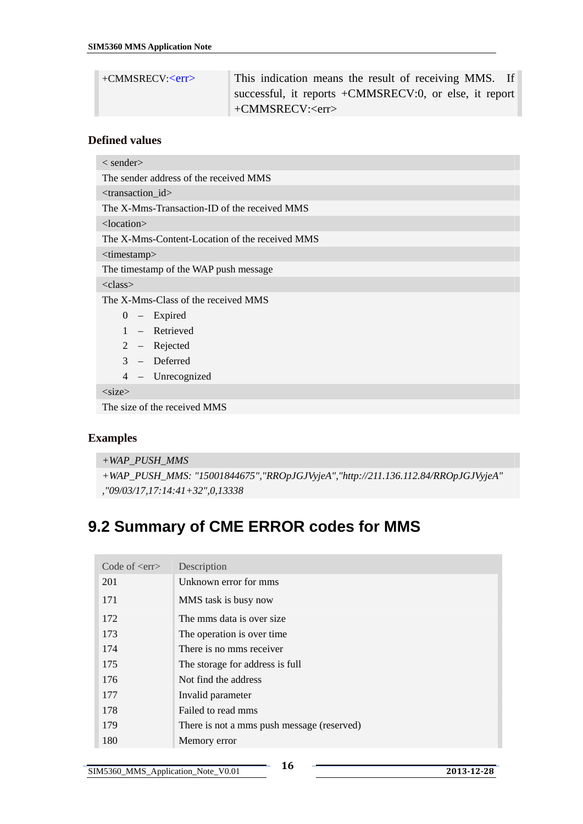<span id="page-16-0"></span>

| $+$ CMMSRECV: $\langle$ err $>$ | This indication means the result of receiving MMS. If  |
|---------------------------------|--------------------------------------------------------|
|                                 | successful, it reports +CMMSRECV:0, or else, it report |
|                                 | +CMMSRECV: <err></err>                                 |

#### **Defined values**

| $\langle$ sender $\rangle$                     |  |  |
|------------------------------------------------|--|--|
| The sender address of the received MMS         |  |  |
| <transaction_id></transaction_id>              |  |  |
| The X-Mms-Transaction-ID of the received MMS   |  |  |
| $<$ location $>$                               |  |  |
| The X-Mms-Content-Location of the received MMS |  |  |
| <timestamp></timestamp>                        |  |  |
| The timestamp of the WAP push message          |  |  |
| <class></class>                                |  |  |
| The X-Mms-Class of the received MMS            |  |  |
| $0 -$ Expired                                  |  |  |
| 1 – Retrieved                                  |  |  |
| 2 – Rejected                                   |  |  |
| $3 -$ Deferred                                 |  |  |
| 4 – Unrecognized                               |  |  |
| $<$ size $>$                                   |  |  |
| The size of the received MMS                   |  |  |

#### **Examples**

```
+WAP_PUSH_MMS
```

```
+WAP_PUSH_MMS: "15001844675","RROpJGJVyjeA","http://211.136.112.84/RROpJGJVyjeA" 
,"09/03/17,17:14:41+32",0,13338
```
# **9.2 Summary of CME ERROR codes for MMS**

| Code of $\langle$ err $\rangle$ | Description                                |
|---------------------------------|--------------------------------------------|
| 201                             | Unknown error for mms                      |
| 171                             | MMS task is busy now                       |
| 172                             | The mms data is over size.                 |
| 173                             | The operation is over time.                |
| 174                             | There is no mms receiver                   |
| 175                             | The storage for address is full            |
| 176                             | Not find the address                       |
| 177                             | Invalid parameter                          |
| 178                             | Failed to read mms                         |
| 179                             | There is not a mms push message (reserved) |
| 180                             | Memory error                               |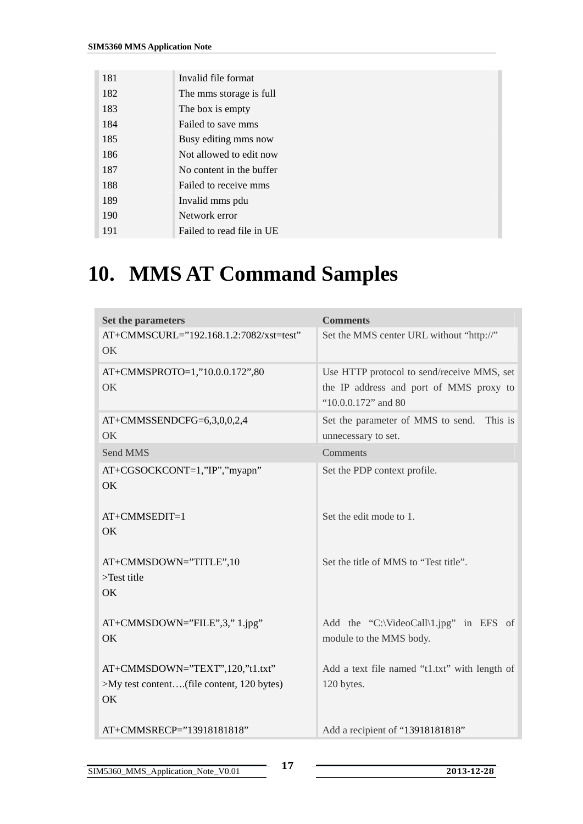<span id="page-17-0"></span>

| 181 | Invalid file format       |
|-----|---------------------------|
| 182 | The mms storage is full   |
| 183 | The box is empty          |
| 184 | Failed to save mms        |
| 185 | Busy editing mms now      |
| 186 | Not allowed to edit now   |
| 187 | No content in the buffer  |
| 188 | Failed to receive mms     |
| 189 | Invalid mms pdu           |
| 190 | Network error             |
| 191 | Failed to read file in UE |

# **10. MMS AT Command Samples**

| Set the parameters                                                                 | <b>Comments</b>                                                                                              |
|------------------------------------------------------------------------------------|--------------------------------------------------------------------------------------------------------------|
| AT+CMMSCURL="192.168.1.2:7082/xst=test"<br><b>OK</b>                               | Set the MMS center URL without "http://"                                                                     |
| AT+CMMSPROTO=1,"10.0.0.172",80<br>OK                                               | Use HTTP protocol to send/receive MMS, set<br>the IP address and port of MMS proxy to<br>"10.0.0.172" and 80 |
| AT+CMMSSENDCFG=6,3,0,0,2,4<br>OK                                                   | Set the parameter of MMS to send.<br>This is<br>unnecessary to set.                                          |
| Send MMS                                                                           | Comments                                                                                                     |
| AT+CGSOCKCONT=1,"IP","myapn"<br>OK                                                 | Set the PDP context profile.                                                                                 |
| $AT+CMMSEDIT=1$<br>OK                                                              | Set the edit mode to 1.                                                                                      |
| AT+CMMSDOWN="TITLE",10<br>$>\!$ Test title<br>OK.                                  | Set the title of MMS to "Test title".                                                                        |
| $AT+CMMSDOWN="FILE", 3," 1.jpg"$<br>OK                                             | Add the "C:\VideoCall\1.jpg" in EFS of<br>module to the MMS body.                                            |
| AT+CMMSDOWN="TEXT",120,"t1.txt"<br>>My test content(file content, 120 bytes)<br>OK | Add a text file named "t1.txt" with length of<br>120 bytes.                                                  |
| AT+CMMSRECP="13918181818"                                                          | Add a recipient of "13918181818"                                                                             |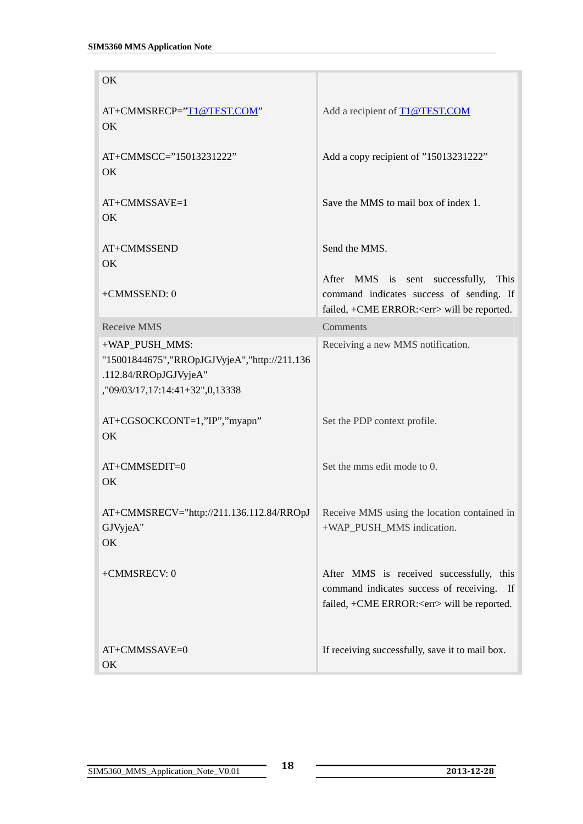| OK                                                                                                                           |                                                                                                                                             |
|------------------------------------------------------------------------------------------------------------------------------|---------------------------------------------------------------------------------------------------------------------------------------------|
| AT+CMMSRECP="T1@TEST.COM"<br>OK                                                                                              | Add a recipient of T1@TEST.COM                                                                                                              |
| AT+CMMSCC="15013231222"<br>OK                                                                                                | Add a copy recipient of "15013231222"                                                                                                       |
| AT+CMMSSAVE=1<br>OK                                                                                                          | Save the MMS to mail box of index 1.                                                                                                        |
| AT+CMMSSEND<br>OK                                                                                                            | Send the MMS.                                                                                                                               |
| +CMMSSEND: 0                                                                                                                 | After MMS is sent successfully,<br>This<br>command indicates success of sending. If<br>failed, +CME ERROR: <err> will be reported.</err>    |
| <b>Receive MMS</b>                                                                                                           | Comments                                                                                                                                    |
| +WAP_PUSH_MMS:<br>"15001844675", "RROpJGJVyjeA", "http://211.136<br>.112.84/RROpJGJVyjeA"<br>,"09/03/17,17:14:41+32",0,13338 | Receiving a new MMS notification.                                                                                                           |
| AT+CGSOCKCONT=1,"IP","myapn"<br>OK                                                                                           | Set the PDP context profile.                                                                                                                |
| AT+CMMSEDIT=0<br>OK                                                                                                          | Set the mms edit mode to 0.                                                                                                                 |
| AT+CMMSRECV="http://211.136.112.84/RROpJ Receive MMS using the location contained in<br>GJVyjeA"<br>OK                       | +WAP_PUSH_MMS indication.                                                                                                                   |
| +CMMSRECV: 0                                                                                                                 | After MMS is received successfully, this<br>command indicates success of receiving. If<br>failed, +CME ERROR: <err> will be reported.</err> |
| AT+CMMSSAVE=0<br>OK                                                                                                          | If receiving successfully, save it to mail box.                                                                                             |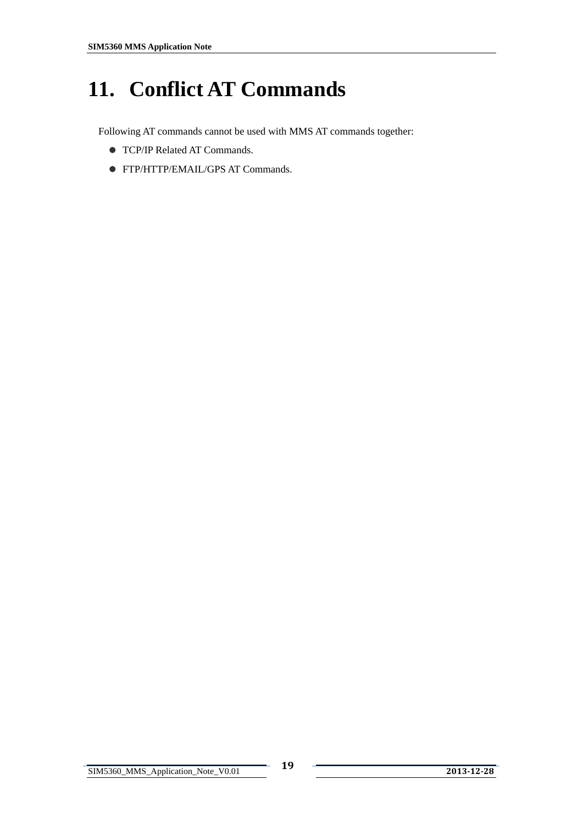# <span id="page-19-0"></span>**11. Conflict AT Commands**

Following AT commands cannot be used with MMS AT commands together:

- **TCP/IP Related AT Commands.**
- z FTP/HTTP/EMAIL/GPS AT Commands.